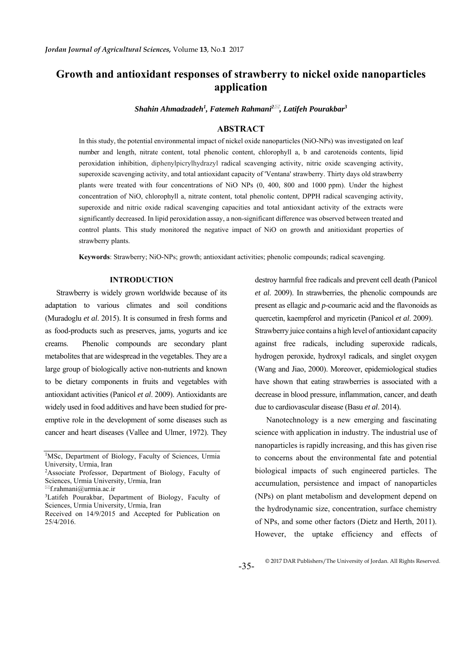## **Growth and antioxidant responses of strawberry to nickel oxide nanoparticles application**

*Shahin Ahmadzadeh1 , Fatemeh Rahmani2 , Latifeh Pourakbar3*

#### **ABSTRACT**

In this study, the potential environmental impact of nickel oxide nanoparticles (NiO-NPs) was investigated on leaf number and length, nitrate content, total phenolic content, chlorophyll a, b and carotenoids contents, lipid peroxidation inhibition, diphenylpicrylhydrazyl radical scavenging activity, nitric oxide scavenging activity, superoxide scavenging activity, and total antioxidant capacity of 'Ventana' strawberry. Thirty days old strawberry plants were treated with four concentrations of NiO NPs (0, 400, 800 and 1000 ppm). Under the highest concentration of NiO, chlorophyll a, nitrate content, total phenolic content, DPPH radical scavenging activity, superoxide and nitric oxide radical scavenging capacities and total antioxidant activity of the extracts were significantly decreased. In lipid peroxidation assay, a non-significant difference was observed between treated and control plants. This study monitored the negative impact of NiO on growth and anitioxidant properties of strawberry plants.

**Keywords**: Strawberry; NiO-NPs; growth; antioxidant activities; phenolic compounds; radical scavenging.

#### **INTRODUCTION**

Strawberry is widely grown worldwide because of its adaptation to various climates and soil conditions (Muradoglu *et al*. 2015). It is consumed in fresh forms and as food-products such as preserves, jams, yogurts and ice creams. Phenolic compounds are secondary plant metabolites that are widespread in the vegetables. They are a large group of biologically active non-nutrients and known to be dietary components in fruits and vegetables with antioxidant activities (Panicol *et al*. 2009). Antioxidants are widely used in food additives and have been studied for preemptive role in the development of some diseases such as cancer and heart diseases (Vallee and Ulmer, 1972). They destroy harmful free radicals and prevent cell death (Panicol *et al*. 2009). In strawberries, the phenolic compounds are present as ellagic and *p*-coumaric acid and the flavonoids as quercetin, kaempferol and myricetin (Panicol *et al*. 2009). Strawberry juice contains a high level of antioxidant capacity against free radicals, including superoxide radicals, hydrogen peroxide, hydroxyl radicals, and singlet oxygen (Wang and Jiao, 2000). Moreover, epidemiological studies have shown that eating strawberries is associated with a decrease in blood pressure, inflammation, cancer, and death due to cardiovascular disease (Basu *et al*. 2014).

Nanotechnology is a new emerging and fascinating science with application in industry. The industrial use of nanoparticles is rapidly increasing, and this has given rise to concerns about the environmental fate and potential biological impacts of such engineered particles. The accumulation, persistence and impact of nanoparticles (NPs) on plant metabolism and development depend on the hydrodynamic size, concentration, surface chemistry of NPs, and some other factors (Dietz and Herth, 2011). However, the uptake efficiency and effects of

<sup>&</sup>lt;sup>1</sup>MSc, Department of Biology, Faculty of Sciences, Urmia University, Urmia, Iran

<sup>2</sup>Associate Professor, Department of Biology, Faculty of Sciences, Urmia University, Urmia, Iran

<sup>&</sup>lt;sup>⊠</sup>f.rahmani@urmia.ac.ir

<sup>3</sup>Latifeh Pourakbar, Department of Biology, Faculty of Sciences, Urmia University, Urmia, Iran

Received on 14/9/2015 and Accepted for Publication on 25/4/2016.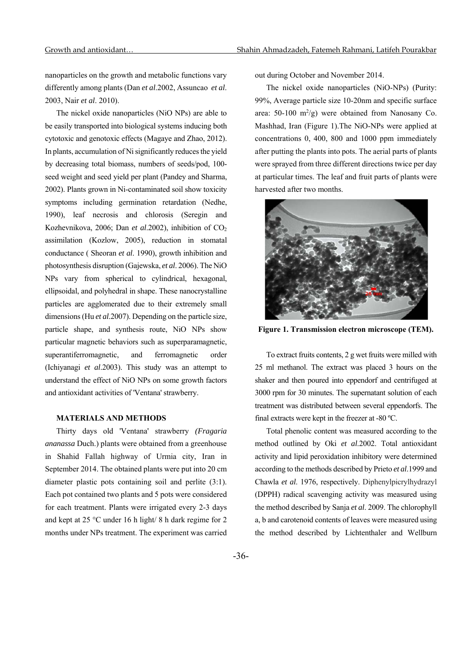nanoparticles on the growth and metabolic functions vary differently among plants (Dan *et al*.2002, Assuncao *et al*. 2003, Nair *et al*. 2010).

The nickel oxide nanoparticles (NiO NPs) are able to be easily transported into biological systems inducing both cytotoxic and genotoxic effects (Magaye and Zhao, 2012). In plants, accumulation of Ni significantly reduces the yield by decreasing total biomass, numbers of seeds/pod, 100 seed weight and seed yield per plant (Pandey and Sharma, 2002). Plants grown in Ni-contaminated soil show toxicity symptoms including germination retardation (Nedhe, 1990), leaf necrosis and chlorosis (Seregin and Kozhevnikova, 2006; Dan et al.2002), inhibition of CO<sub>2</sub> assimilation (Kozlow, 2005), reduction in stomatal conductance ( Sheoran *et al*. 1990), growth inhibition and photosynthesis disruption (Gajewska, *et al*. 2006). The NiO NPs vary from spherical to cylindrical, hexagonal, ellipsoidal, and polyhedral in shape. These nanocrystalline particles are agglomerated due to their extremely small dimensions (Hu *et al*.2007). Depending on the particle size, particle shape, and synthesis route, NiO NPs show particular magnetic behaviors such as superparamagnetic, superantiferromagnetic, and ferromagnetic order (Ichiyanagi *et al*.2003). This study was an attempt to understand the effect of NiO NPs on some growth factors and antioxidant activities of 'Ventana' strawberry.

#### **MATERIALS AND METHODS**

Thirty days old 'Ventana' strawberry *(Fragaria ananassa* Duch.) plants were obtained from a greenhouse in Shahid Fallah highway of Urmia city, Iran in September 2014. The obtained plants were put into 20 cm diameter plastic pots containing soil and perlite (3:1). Each pot contained two plants and 5 pots were considered for each treatment. Plants were irrigated every 2-3 days and kept at 25 °C under 16 h light/ 8 h dark regime for 2 months under NPs treatment. The experiment was carried out during October and November 2014.

The nickel oxide nanoparticles (NiO-NPs) (Purity: 99%, Average particle size 10-20nm and specific surface area:  $50-100 \text{ m}^2/\text{g}$ ) were obtained from Nanosany Co. Mashhad, Iran (Figure 1).The NiO-NPs were applied at concentrations 0, 400, 800 and 1000 ppm immediately after putting the plants into pots. The aerial parts of plants were sprayed from three different directions twice per day at particular times. The leaf and fruit parts of plants were harvested after two months.



**Figure 1. Transmission electron microscope (TEM).** 

To extract fruits contents, 2 g wet fruits were milled with 25 ml methanol. The extract was placed 3 hours on the shaker and then poured into eppendorf and centrifuged at 3000 rpm for 30 minutes. The supernatant solution of each treatment was distributed between several eppendorfs. The final extracts were kept in the freezer at -80 ºC.

Total phenolic content was measured according to the method outlined by Oki *et al*.2002. Total antioxidant activity and lipid peroxidation inhibitory were determined according to the methods described by Prieto *et al*.1999 and Chawla *et al*. 1976, respectively. Diphenylpicrylhydrazyl (DPPH) radical scavenging activity was measured using the method described by Sanja *et al*. 2009. The chlorophyll a, b and carotenoid contents of leaves were measured using the method described by Lichtenthaler and Wellburn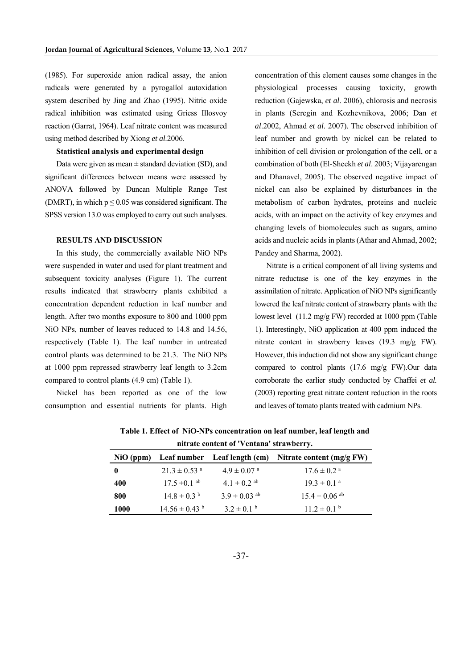(1985). For superoxide anion radical assay, the anion radicals were generated by a pyrogallol autoxidation system described by Jing and Zhao (1995). Nitric oxide radical inhibition was estimated using Griess Illosvoy reaction (Garrat, 1964). Leaf nitrate content was measured using method described by Xiong *et al*.2006.

#### **Statistical analysis and experimental design**

Data were given as mean  $\pm$  standard deviation (SD), and significant differences between means were assessed by ANOVA followed by Duncan Multiple Range Test (DMRT), in which  $p \le 0.05$  was considered significant. The SPSS version 13.0 was employed to carry out such analyses.

#### **RESULTS AND DISCUSSION**

In this study, the commercially available NiO NPs were suspended in water and used for plant treatment and subsequent toxicity analyses (Figure 1). The current results indicated that strawberry plants exhibited a concentration dependent reduction in leaf number and length. After two months exposure to 800 and 1000 ppm NiO NPs, number of leaves reduced to 14.8 and 14.56, respectively (Table 1). The leaf number in untreated control plants was determined to be 21.3. The NiO NPs at 1000 ppm repressed strawberry leaf length to 3.2cm compared to control plants (4.9 cm) (Table 1).

Nickel has been reported as one of the low consumption and essential nutrients for plants. High

concentration of this element causes some changes in the physiological processes causing toxicity, growth reduction (Gajewska, *et al*. 2006), chlorosis and necrosis in plants (Seregin and Kozhevnikova, 2006; Dan *et al*.2002, Ahmad *et al*. 2007). The observed inhibition of leaf number and growth by nickel can be related to inhibition of cell division or prolongation of the cell, or a combination of both (El-Sheekh *et al*. 2003; Vijayarengan and Dhanavel, 2005). The observed negative impact of nickel can also be explained by disturbances in the metabolism of carbon hydrates, proteins and nucleic acids, with an impact on the activity of key enzymes and changing levels of biomolecules such as sugars, amino acids and nucleic acids in plants (Athar and Ahmad, 2002; Pandey and Sharma, 2002).

Nitrate is a critical component of all living systems and nitrate reductase is one of the key enzymes in the assimilation of nitrate. Application of NiO NPs significantly lowered the leaf nitrate content of strawberry plants with the lowest level (11.2 mg/g FW) recorded at 1000 ppm (Table 1). Interestingly, NiO application at 400 ppm induced the nitrate content in strawberry leaves (19.3 mg/g FW). However, this induction did not show any significant change compared to control plants (17.6 mg/g FW).Our data corroborate the earlier study conducted by Chaffei *et al.* (2003) reporting great nitrate content reduction in the roots and leaves of tomato plants treated with cadmium NPs.

| nitrate content of 'Ventana' strawberry. |                               |                              |                               |  |  |  |  |
|------------------------------------------|-------------------------------|------------------------------|-------------------------------|--|--|--|--|
| $NiO$ (ppm)                              |                               | Leaf number Leaf length (cm) | Nitrate content $(mg/g FW)$   |  |  |  |  |
| $\mathbf{0}$                             | $21.3 \pm 0.53$ <sup>a</sup>  | $4.9 \pm 0.07$ <sup>a</sup>  | $17.6 \pm 0.2$ <sup>a</sup>   |  |  |  |  |
| 400                                      | $17.5 \pm 0.1$ <sup>ab</sup>  | $4.1 \pm 0.2$ ab             | $193 \pm 01^{a}$              |  |  |  |  |
| 800                                      | $14.8 \pm 0.3$ <sup>b</sup>   | $3.9 \pm 0.03$ <sup>ab</sup> | $15.4 \pm 0.06$ <sup>ab</sup> |  |  |  |  |
| 1000                                     | $14.56 \pm 0.43$ <sup>b</sup> | $3.2 \pm 0.1^{\text{b}}$     | $11.2 \pm 0.1$ <sup>b</sup>   |  |  |  |  |

**Table 1. Effect of NiO-NPs concentration on leaf number, leaf length and**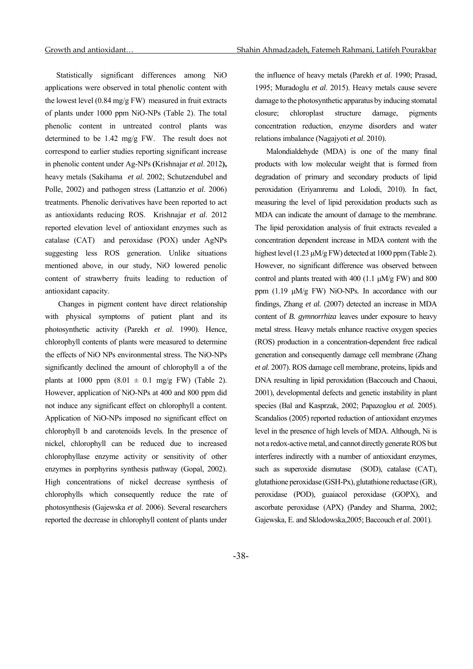Statistically significant differences among NiO applications were observed in total phenolic content with the lowest level (0.84 mg/g FW) measured in fruit extracts of plants under 1000 ppm NiO-NPs (Table 2). The total phenolic content in untreated control plants was determined to be 1.42 mg/g FW. The result does not correspond to earlier studies reporting significant increase in phenolic content under Ag-NPs **(**Krishnajar *et al*. 2012**),** heavy metals (Sakihama *et al*. 2002; Schutzendubel and Polle, 2002) and pathogen stress (Lattanzio *et al*. 2006) treatments. Phenolic derivatives have been reported to act as antioxidants reducing ROS. Krishnajar *et al*. 2012 reported elevation level of antioxidant enzymes such as catalase (CAT) and peroxidase (POX) under AgNPs suggesting less ROS generation. Unlike situations mentioned above, in our study, NiO lowered penolic content of strawberry fruits leading to reduction of antioxidant capacity.

 Changes in pigment content have direct relationship with physical symptoms of patient plant and its photosynthetic activity (Parekh *et al*. 1990). Hence, chlorophyll contents of plants were measured to determine the effects of NiO NPs environmental stress. The NiO-NPs significantly declined the amount of chlorophyll a of the plants at 1000 ppm  $(8.01 \pm 0.1 \text{ mg/g FW})$  (Table 2). However, application of NiO-NPs at 400 and 800 ppm did not induce any significant effect on chlorophyll a content. Application of NiO-NPs imposed no significant effect on chlorophyll b and carotenoids levels. In the presence of nickel, chlorophyll can be reduced due to increased chlorophyllase enzyme activity or sensitivity of other enzymes in porphyrins synthesis pathway (Gopal, 2002). High concentrations of nickel decrease synthesis of chlorophylls which consequently reduce the rate of photosynthesis (Gajewska *et al*. 2006). Several researchers reported the decrease in chlorophyll content of plants under

the influence of heavy metals (Parekh *et al*. 1990; Prasad, 1995; Muradoglu *et al*. 2015). Heavy metals cause severe damage to the photosynthetic apparatus by inducing stomatal closure; chloroplast structure damage, pigments concentration reduction, enzyme disorders and water relations imbalance (Nagajyoti *et al*. 2010).

Malondialdehyde (MDA) is one of the many final products with low molecular weight that is formed from degradation of primary and secondary products of lipid peroxidation (Eriyamremu and Lolodi, 2010). In fact, measuring the level of lipid peroxidation products such as MDA can indicate the amount of damage to the membrane. The lipid peroxidation analysis of fruit extracts revealed a concentration dependent increase in MDA content with the highest level (1.23 μM/g FW) detected at 1000 ppm (Table 2). However, no significant difference was observed between control and plants treated with 400 (1.1 μM/g FW) and 800 ppm (1.19 μM/g FW) NiO-NPs. In accordance with our findings, Zhang *et al.* (2007) detected an increase in MDA content of *B. gymnorrhiza* leaves under exposure to heavy metal stress. Heavy metals enhance reactive oxygen species (ROS) production in a concentration-dependent free radical generation and consequently damage cell membrane (Zhang *et al*. 2007). ROS damage cell membrane, proteins, lipids and DNA resulting in lipid peroxidation (Baccouch and Chaoui, 2001), developmental defects and genetic instability in plant species (Bal and Kasprzak, 2002; Papazoglou *et al.* 2005). Scandalios (2005) reported reduction of antioxidant enzymes level in the presence of high levels of MDA. Although, Ni is not a redox-active metal, and cannot directly generate ROS but interferes indirectly with a number of antioxidant enzymes, such as superoxide dismutase (SOD), catalase (CAT), glutathione peroxidase (GSH-Px), glutathione reductase (GR), peroxidase (POD), guaiacol peroxidase (GOPX), and ascorbate peroxidase (APX) (Pandey and Sharma, 2002; Gajewska, E. and Sklodowska,2005; Baccouch *et al*. 2001).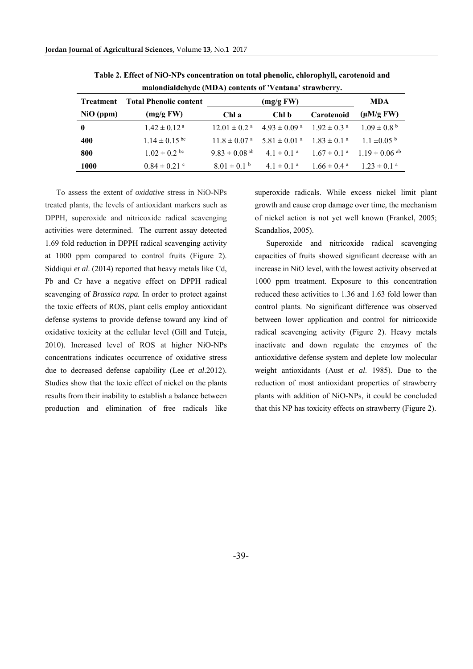| maronumuchyuc (mida) contents or ventuna strawberry. |                               |                               |                                                                                       |                  |                                                           |  |  |
|------------------------------------------------------|-------------------------------|-------------------------------|---------------------------------------------------------------------------------------|------------------|-----------------------------------------------------------|--|--|
| Treatment                                            | <b>Total Phenolic content</b> | (mg/gFW)                      |                                                                                       |                  | <b>MDA</b>                                                |  |  |
| $NiO$ (ppm)                                          | (mg/gFW)                      | Chl a                         | Chl b                                                                                 | Carotenoid       | $(\mu M/g FW)$                                            |  |  |
| $\bf{0}$                                             | $1.42 \pm 0.12$ <sup>a</sup>  |                               | $12.01 \pm 0.2$ <sup>a</sup> $4.93 \pm 0.09$ <sup>a</sup> $1.92 \pm 0.3$ <sup>a</sup> |                  | $1.09 \pm 0.8^{\circ}$                                    |  |  |
| 400                                                  | $1.14 \pm 0.15$ bc            |                               | $11.8 \pm 0.07$ a $5.81 \pm 0.01$ a $1.83 \pm 0.1$ a                                  |                  | $11 \pm 0.05^{\circ}$                                     |  |  |
| 800                                                  | $1.02 \pm 0.2$ bc             | $9.83 \pm 0.08$ <sup>ab</sup> |                                                                                       |                  | $4.1 \pm 0.1^{a}$ $1.67 \pm 0.1^{a}$ $1.19 \pm 0.06^{ab}$ |  |  |
| <b>1000</b>                                          | $0.84 \pm 0.21$ °             | $8.01 \pm 0.1$ b              | $4.1 \pm 0.1$ <sup>a</sup>                                                            | $1.66 \pm 0.4$ a | $1.23 \pm 0.1$ <sup>a</sup>                               |  |  |

**Table 2. Effect of NiO-NPs concentration on total phenolic, chlorophyll, carotenoid and malondialdehyde (MDA) contents of 'Ventana' strawberry.** 

To assess the extent of *oxidative* stress in NiO-NPs treated plants, the levels of antioxidant markers such as DPPH, superoxide and nitricoxide radical scavenging activities were determined. The current assay detected 1.69 fold reduction in DPPH radical scavenging activity at 1000 ppm compared to control fruits (Figure 2). Siddiqui *et al*. (2014) reported that heavy metals like Cd, Pb and Cr have a negative effect on DPPH radical scavenging of *Brassica rapa.* In order to protect against the toxic effects of ROS, plant cells employ antioxidant defense systems to provide defense toward any kind of oxidative toxicity at the cellular level (Gill and Tuteja, 2010). Increased level of ROS at higher NiO-NPs concentrations indicates occurrence of oxidative stress due to decreased defense capability (Lee *et al*.2012). Studies show that the toxic effect of nickel on the plants results from their inability to establish a balance between production and elimination of free radicals like

superoxide radicals. While excess nickel limit plant growth and cause crop damage over time, the mechanism of nickel action is not yet well known (Frankel, 2005; Scandalios, 2005).

Superoxide and nitricoxide radical scavenging capacities of fruits showed significant decrease with an increase in NiO level, with the lowest activity observed at 1000 ppm treatment. Exposure to this concentration reduced these activities to 1.36 and 1.63 fold lower than control plants. No significant difference was observed between lower application and control for nitricoxide radical scavenging activity (Figure 2). Heavy metals inactivate and down regulate the enzymes of the antioxidative defense system and deplete low molecular weight antioxidants (Aust *et al*. 1985). Due to the reduction of most antioxidant properties of strawberry plants with addition of NiO-NPs, it could be concluded that this NP has toxicity effects on strawberry (Figure 2).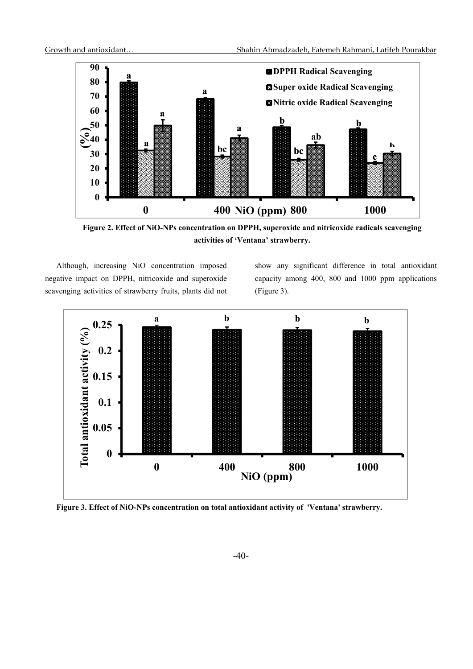

**Figure 2. Effect of NiO-NPs concentration on DPPH, superoxide and nitricoxide radicals scavenging activities of 'Ventana' strawberry.** 

Although, increasing NiO concentration imposed negative impact on DPPH, nitricoxide and superoxide scavenging activities of strawberry fruits, plants did not show any significant difference in total antioxidant capacity among 400, 800 and 1000 ppm applications (Figure 3).



**Figure 3. Effect of NiO-NPs concentration on total antioxidant activity of 'Ventana' strawberry.**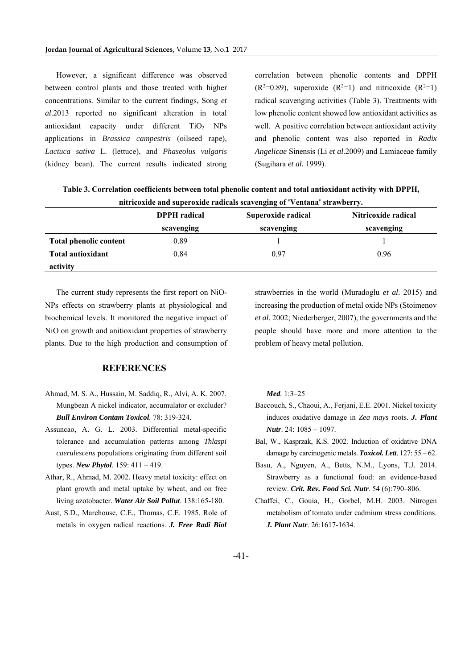However, a significant difference was observed between control plants and those treated with higher concentrations. Similar to the current findings, Song *et al*.2013 reported no significant alteration in total antioxidant capacity under different TiO<sub>2</sub> NPs applications in *Brassica campestris* (oilseed rape), *Lactuca sativa* L. (lettuce), and *Phaseolus vulgaris* (kidney bean). The current results indicated strong

correlation between phenolic contents and DPPH  $(R<sup>2</sup>=0.89)$ , superoxide  $(R<sup>2</sup>=1)$  and nitricoxide  $(R<sup>2</sup>=1)$ radical scavenging activities (Table 3). Treatments with low phenolic content showed low antioxidant activities as well. A positive correlation between antioxidant activity and phenolic content was also reported in *Radix Angelicae* Sinensis (Li *et al*.2009) and Lamiaceae family (Sugihara *et al.* 1999).

| nitricoxide and superoxide radicals scavenging of 'Ventana' strawberry. |                     |                    |                     |  |  |  |  |
|-------------------------------------------------------------------------|---------------------|--------------------|---------------------|--|--|--|--|
|                                                                         | <b>DPPH</b> radical | Superoxide radical | Nitricoxide radical |  |  |  |  |
|                                                                         | scavenging          | scavenging         | scavenging          |  |  |  |  |
| <b>Total phenolic content</b>                                           | 0.89                |                    |                     |  |  |  |  |
| <b>Total antioxidant</b>                                                | 0.84                | 0.97               | 0.96                |  |  |  |  |
| activity                                                                |                     |                    |                     |  |  |  |  |

**Table 3. Correlation coefficients between total phenolic content and total antioxidant activity with DPPH,** 

The current study represents the first report on NiO-NPs effects on strawberry plants at physiological and biochemical levels. It monitored the negative impact of NiO on growth and anitioxidant properties of strawberry plants. Due to the high production and consumption of

#### **REFERENCES**

- Ahmad, M. S. A., Hussain, M. Saddiq, R., Alvi, A. K. 2007. Mungbean A nickel indicator, accumulator or excluder? *Bull Environ Contam Toxicol.* 78: 319-324.
- Assuncao, A. G. L. 2003. Differential metal-specific tolerance and accumulation patterns among *Thlaspi caerulescens* populations originating from different soil types. *New Phytol*. 159: 411 – 419.
- Athar, R., Ahmad, M. 2002. Heavy metal toxicity: effect on plant growth and metal uptake by wheat, and on free living azotobacter. *Water Air Soil Pollut*. 138:165-180.
- Aust, S.D., Marehouse, C.E., Thomas, C.E. 1985. Role of metals in oxygen radical reactions. *J. Free Radi Biol*

strawberries in the world (Muradoglu *et al*. 2015) and increasing the production of metal oxide NPs (Stoimenov *et al*. 2002; Niederberger, 2007), the governments and the people should have more and more attention to the problem of heavy metal pollution.

*Med.* 1:3–25

- Baccouch, S., Chaoui, A., Ferjani, E.E. 2001. Nickel toxicity induces oxidative damage in *Zea mays* roots. *J. Plant Nutr*. 24: 1085 – 1097.
- Bal, W., Kasprzak, K.S. 2002. Induction of oxidative DNA damage by carcinogenic metals. *Toxicol. Lett*. 127: 55 – 62.
- Basu, A., Nguyen, A., Betts, N.M., Lyons, T.J. 2014. Strawberry as a functional food: an evidence-based review. *Crit. Rev. Food Sci. Nutr*. 54 (6):790–806.
- Chaffei, C., Gouia, H., Gorbel, M.H. 2003. Nitrogen metabolism of tomato under cadmium stress conditions. *J. Plant Nutr*. 26:1617-1634.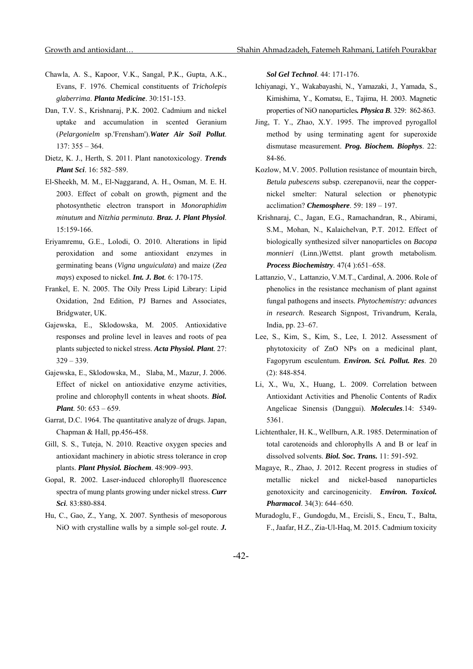- Chawla, A. S., Kapoor, V.K., Sangal, P.K., Gupta, A.K., Evans, F. 1976. Chemical constituents of *Tricholepis glaberrima*. *Planta Medicine*. 30:151-153.
- Dan, T.V. S., Krishnaraj, P.K. 2002. Cadmium and nickel uptake and accumulation in scented Geranium (*Pelargonielm* sp.'Frensham').*Water Air Soil Pollut*. 137: 355 – 364.
- Dietz, K. J., Herth, S. 2011. Plant nanotoxicology. *Trends Plant Sci*. 16: 582–589.
- El-Sheekh, M. M., El-Naggarand, A. H., Osman, M. E. H. 2003. Effect of cobalt on growth, pigment and the photosynthetic electron transport in *Monoraphidim minutum* and *Nitzhia perminuta*. *Braz. J. Plant Physiol*. 15:159-166.
- Eriyamremu, G.E., Lolodi, O. 2010. Alterations in lipid peroxidation and some antioxidant enzymes in germinating beans (*Vigna unguiculata*) and maize (*Zea mays*) exposed to nickel. *Int. J. Bot.* 6: 170-175.
- Frankel, E. N. 2005. The Oily Press Lipid Library: Lipid Oxidation, 2nd Edition, PJ Barnes and Associates, Bridgwater, UK.
- Gajewska, E., Sklodowska, M. 2005. Antioxidative responses and proline level in leaves and roots of pea plants subjected to nickel stress. *Acta Physiol. Plant.* 27:  $329 - 339.$
- Gajewska, E., Sklodowska, M., Slaba, M., Mazur, J. 2006. Effect of nickel on antioxidative enzyme activities, proline and chlorophyll contents in wheat shoots. *Biol. Plant*. 50: 653 – 659.
- Garrat, D.C. 1964. The quantitative analyze of drugs. Japan, Chapman & Hall, pp.456-458.
- Gill, S. S., Tuteja, N. 2010. Reactive oxygen species and antioxidant machinery in abiotic stress tolerance in crop plants. *Plant Physiol. Biochem*. 48:909–993.
- Gopal, R. 2002. Laser-induced chlorophyll fluorescence spectra of mung plants growing under nickel stress. *Curr Sci.* 83:880-884.
- Hu, C., Gao, Z., Yang, X. 2007. Synthesis of mesoporous NiO with crystalline walls by a simple sol-gel route. *J.*

*Sol Gel Technol*. 44: 171-176.

- Ichiyanagi, Y., Wakabayashi, N., Yamazaki, J., Yamada, S., Kimishima, Y., Komatsu, E., Tajima, H. 2003. Magnetic properties of NiO nanoparticles*. Physica B.* 329: 862-863.
- Jing, T. Y., Zhao, X.Y. 1995. The improved pyrogallol method by using terminating agent for superoxide dismutase measurement. *Prog. Biochem. Biophys*. 22: 84-86.
- Kozlow, M.V. 2005. Pollution resistance of mountain birch, *Betula pubescens* subsp. czerepanovii, near the coppernickel smelter: Natural selection or phenotypic acclimation? *Chemosphere*. 59: 189 – 197.
- Krishnaraj, C., Jagan, E.G., Ramachandran, R., Abirami, S.M., Mohan, N., Kalaichelvan, P.T. 2012. Effect of biologically synthesized silver nanoparticles on *Bacopa monnieri* (Linn.)Wettst. plant growth metabolism. *Process Biochemistry.* 47(4 ):651–658.
- Lattanzio, V., Lattanzio, V.M.T., Cardinal, A. 2006. Role of phenolics in the resistance mechanism of plant against fungal pathogens and insects. *Phytochemistry: advances in research*. Research Signpost, Trivandrum, Kerala, India, pp. 23–67.
- Lee, S., Kim, S., Kim, S., Lee, I. 2012. Assessment of phytotoxicity of ZnO NPs on a medicinal plant, Fagopyrum esculentum. *Environ. Sci. Pollut. Res*. 20 (2): 848-854.
- Li, X., Wu, X., Huang, L. 2009. Correlation between Antioxidant Activities and Phenolic Contents of Radix Angelicae Sinensis (Danggui). *Molecules*.14: 5349- 5361.
- Lichtenthaler, H. K., Wellburn, A.R. 1985. Determination of total carotenoids and chlorophylls A and B or leaf in dissolved solvents. *Biol. Soc. Trans.* 11: 591-592.
- Magaye, R., Zhao, J. 2012. Recent progress in studies of metallic nickel and nickel-based nanoparticles genotoxicity and carcinogenicity. *Environ. Toxicol. Pharmacol*. 34(3): 644–650.
- Muradoglu, F., Gundogdu, M., Ercisli, S., Encu, T., Balta, F., Jaafar, H.Z., Zia-Ul-Haq, M. 2015. Cadmium toxicity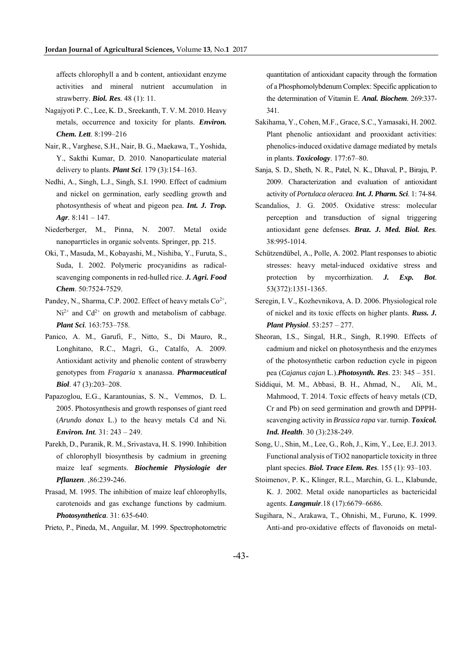affects chlorophyll a and b content, antioxidant enzyme activities and mineral nutrient accumulation in strawberry. *Biol. Res.* 48 (1): 11.

- Nagajyoti P. C., Lee, K. D., Sreekanth, T. V. M. 2010. Heavy metals, occurrence and toxicity for plants. *Environ. Chem. Lett*. 8:199–216
- Nair, R., Varghese, S.H., Nair, B. G., Maekawa, T., Yoshida, Y., Sakthi Kumar, D. 2010. Nanoparticulate material delivery to plants. *Plant Sci*. 179 (3):154–163.
- Nedhi, A., Singh, L.J., Singh, S.I. 1990. Effect of cadmium and nickel on germination, early seedling growth and photosynthesis of wheat and pigeon pea. *Int. J. Trop. Agr.* 8:141 – 147.
- Niederberger, M., Pinna, N. 2007. Metal oxide nanoparrticles in organic solvents. Springer, pp. 215.
- Oki, T., Masuda, M., Kobayashi, M., Nishiba, Y., Furuta, S., Suda, I. 2002. Polymeric procyanidins as radicalscavenging components in red-hulled rice. *J. Agri. Food Chem*. 50:7524-7529.
- Pandey, N., Sharma, C.P. 2002. Effect of heavy metals  $Co^{2+}$ ,  $Ni<sup>2+</sup>$  and  $Cd<sup>2+</sup>$  on growth and metabolism of cabbage. *Plant Sci.* 163:753–758.
- Panico, A. M., Garufi, F., Nitto, S., Di Mauro, R., Longhitano, R.C., Magrì, G., Catalfo, A. 2009. Antioxidant activity and phenolic content of strawberry genotypes from *Fragaria* x ananassa. *Pharmaceutical Biol*. 47 (3):203–208.
- Papazoglou, E.G., Karantounias, S. N., Vemmos, D. L. 2005. Photosynthesis and growth responses of giant reed (*Arundo donax* L.) to the heavy metals Cd and Ni. *Environ. Int.* 31: 243 – 249.
- Parekh, D., Puranik, R. M., Srivastava, H. S. 1990. Inhibition of chlorophyll biosynthesis by cadmium in greening maize leaf segments. *Biochemie Physiologie der Pflanzen*. ,86:239-246.
- Prasad, M. 1995. The inhibition of maize leaf chlorophylls, carotenoids and gas exchange functions by cadmium. *Photosynthetica*. 31: 635-640.

Prieto, P., Pineda, M., Anguilar, M. 1999. Spectrophotometric

quantitation of antioxidant capacity through the formation of a Phosphomolybdenum Complex: Specific application to the determination of Vitamin E. *Anal. Biochem.* 269:337- 341.

- Sakihama, Y., Cohen, M.F., Grace, S.C., Yamasaki, H. 2002. Plant phenolic antioxidant and prooxidant activities: phenolics-induced oxidative damage mediated by metals in plants. *Toxicology*. 177:67–80.
- Sanja, S. D., Sheth, N. R., Patel, N. K., Dhaval, P., Biraju, P. 2009. Characterization and evaluation of antioxidant activity of *Portulaca oleracea*. *Int. J. Pharm. Sci*. 1: 74-84.
- Scandalios, J. G. 2005. Oxidative stress: molecular perception and transduction of signal triggering antioxidant gene defenses. *Braz. J. Med. Biol. Res*. 38:995-1014.
- Schützendübel, A., Polle, A. 2002. Plant responses to abiotic stresses: heavy metal‐induced oxidative stress and protection by mycorrhization. *J. Exp. Bot*. 53(372):1351-1365.
- Seregin, I. V., Kozhevnikova, A. D. 2006. Physiological role of nickel and its toxic effects on higher plants. *Russ. J. Plant Physiol*. 53:257 – 277.
- Sheoran, I.S., Singal, H.R., Singh, R.1990. Effects of cadmium and nickel on photosynthesis and the enzymes of the photosynthetic carbon reduction cycle in pigeon pea (*Cajanus cajan* L.).*Photosynth. Res*. 23: 345 – 351.
- Siddiqui, M. M., Abbasi, B. H., Ahmad, N., Ali, M., Mahmood, T. 2014. Toxic effects of heavy metals (CD, Cr and Pb) on seed germination and growth and DPPHscavenging activity in *Brassica rapa* var. turnip. *Toxicol. Ind. Health*. 30 (3):238-249.
- Song, U., Shin, M., Lee, G., Roh, J., Kim, Y., Lee, E.J. 2013. Functional analysis of TiO2 nanoparticle toxicity in three plant species. *Biol. Trace Elem. Res*. 155 (1): 93–103.
- Stoimenov, P. K., Klinger, R.L., Marchin, G. L., Klabunde, K. J. 2002. Metal oxide nanoparticles as bactericidal agents. *Langmuir*.18 (17):6679–6686.
- Sugihara, N., Arakawa, T., Ohnishi, M., Furuno, K. 1999. Anti-and pro-oxidative effects of flavonoids on metal-